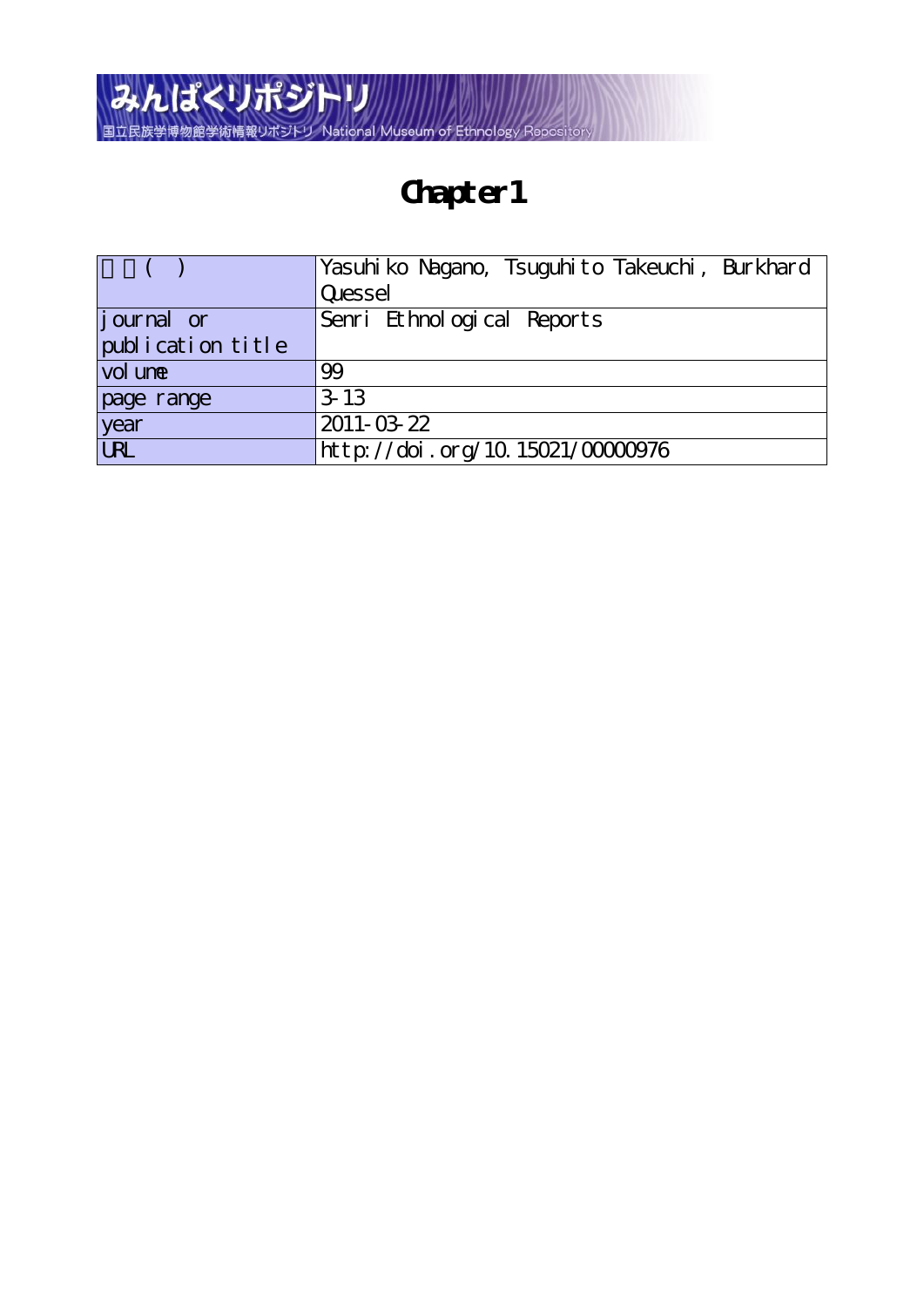

## **Chapter1**

|                        | Yasuhi ko Nagano, Tsuguhi to Takeuchi, Burkhard |
|------------------------|-------------------------------------------------|
|                        | Quessel                                         |
| <i>j</i> ournal or     | Senri Ethnological Reports                      |
| publication title      |                                                 |
| vol une                | 99                                              |
| page range             | $3-13$                                          |
| year                   | 2011-03-22                                      |
| $\overline{\text{UL}}$ | http://doi.org/10.15021/00000976                |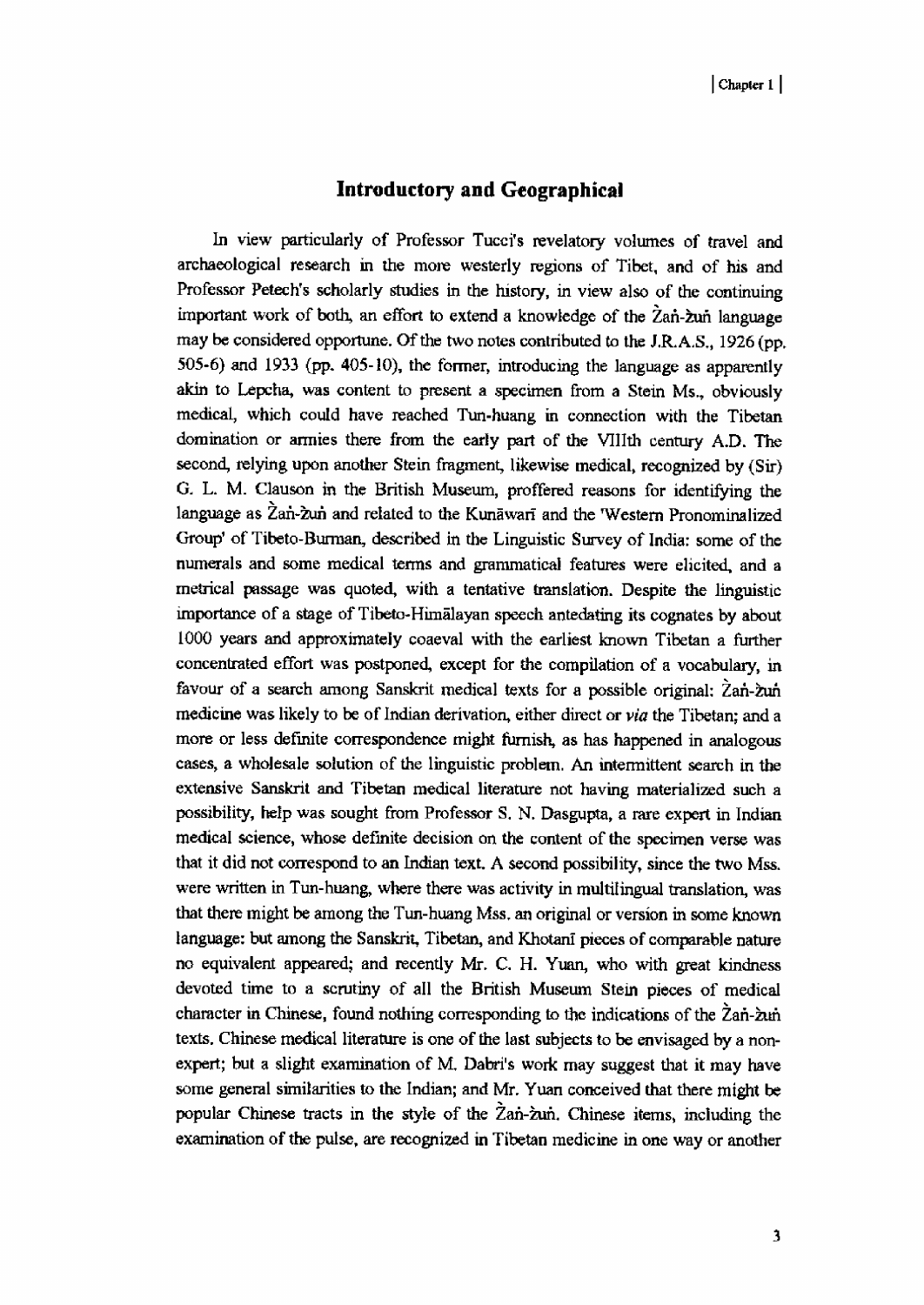## Introductory and Geographical

In view particularly of Professor Tucci's revelatory volumes of travel and archaeological research in the more westerly regions of Tibet, and of his and Professor Petech's scholarly studies in the history, in view also of the continuing important work of both, an effort to extend a knowledge of the  $\chi$ an- $\chi$ un language may be considered opportune. Of the two notes contributed to the J.R.A.S., 1926 (pp. 505-6) and 1933 (pp. 405-10), the former, introducing the language as apparently akin to Lepcha, was content to present a specimen from a Stein Ms., obviously medical, which could have reached Tun-huang in connection with the Tibetan domination or armies there from the early part of the VIIIth century A.D. The second, relying upon another Stein fragment, likewise medical, recognized by (Sir) G. L. M. Clauson in the British Museum, proffered reasons for identifying the language as Zan-zun and related to the Kunawari and the 'Western Pronominalized Group' of Tibeto-Burman, described in the Linguistic Survey of India: some of the numerals and some medical terms and grammatical features were elicited, and a metrical passage was quoted, with a tentative translation. Despite the linguistic importance of a stage of Tibeto-Hinuilayan speech antedating its cognates by about 1000 years and approximately coaeval with the earliest known Tibetan a further concentrated effort was postponed, except for the compilation of a vocabulary, in favour of a search among Sanskrit medical texts for a possible original: Zan-zun medicine was likely to be of Indian derivation, either direct or via the Tibetan; and a more or less definite correspondence might furnish, as has happened in analogous cases, a wholesale solution of the linguistic problem. An intermittent search in the extensive Sanskrit and Tibetan medical literature not having materialized such a possibility, help was sought from Professor S. N. Dasgupta, a rare expert in Indian medical science, whose definite decision on the content of the specimen verse was that it did not correspond to an Indian text. A second possibility, since the two Mss. were written in Tun-huang, where there was activity in multilingual translation, was that there might be among the Tun-huang Mss. an original or version in some known language: but among the Sanskrit, Tibetan, and Khotani pieces of comparable nature no equivalent appeared; and recently Mr. C. H. Yuan, who with great kindness devoted time to a scrutiny of all the British Museum Stein pieces of medical character in Chinese, found nothing corresponding to the indications of the  $\lambda$ an- $\lambda$ in texts. Chinese medical literature is one of the last subjects to be envisaged by a nonexpert; but a slight examination of M. Dabri's work may suggest that it may have some general similarities to the Indian; and Mr. Yuan conceived that there might be popular Chinese tracts in the style of the Zan-zun. Chinese items, including the examination of the pulse, are recognized in Tibetan medicine in one way or another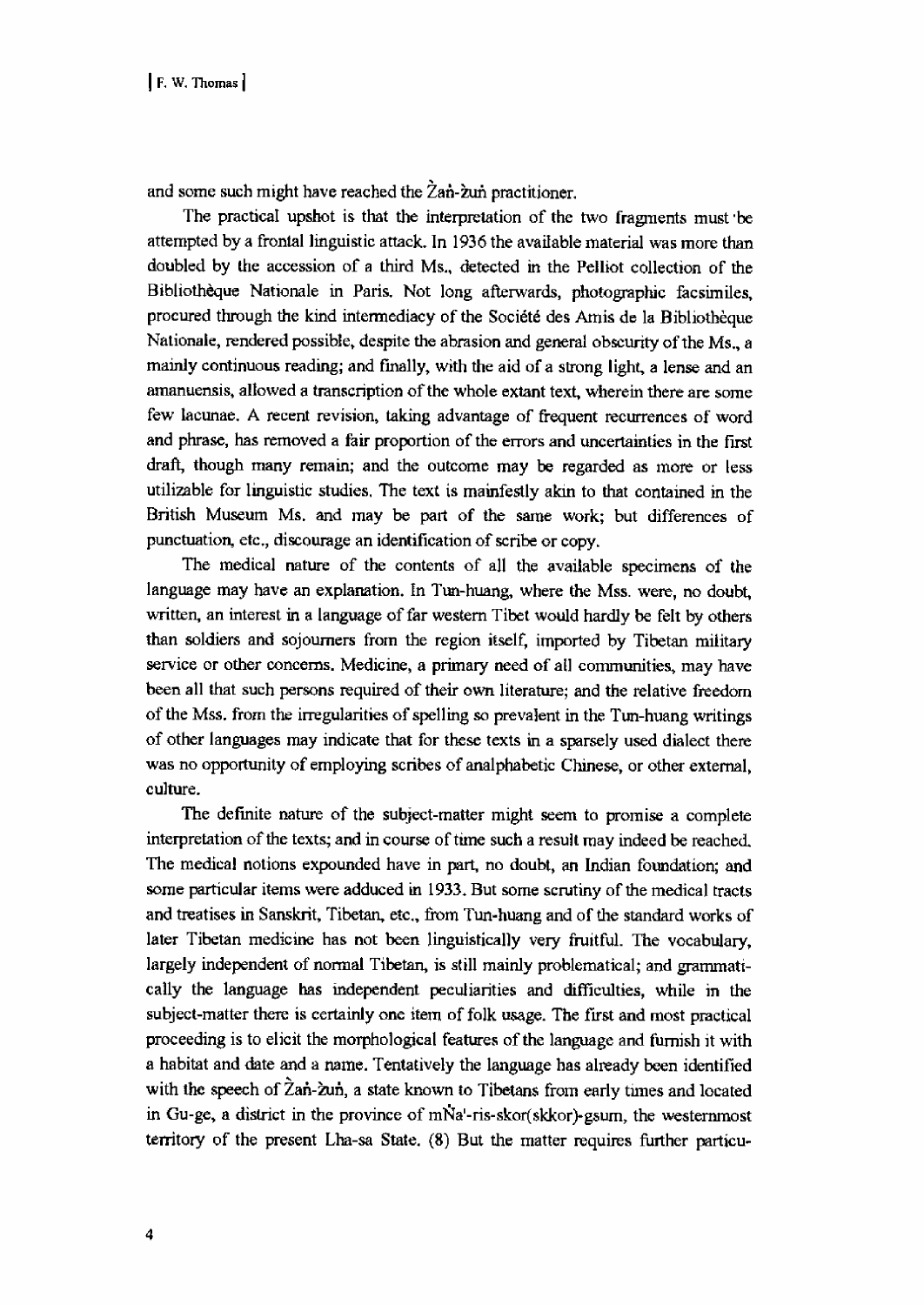and some such might have reached the  $\overline{2}$ an- $\overline{2}$ un practitioner.

The practical upshot is that the interpretation of the two fragments must be attempted by a frontal linguistic attack. In 1936 the available material was more than doubled by the accession of a third Ms., detected in the Pelliot collection of the Bibliotheque Nationale in Paris. Not long afterwards, photographic facsimiles, procured through the kind intermediacy of the Societe des Amis de la Bibliotheque Nationale, rendered possible, despite the abrasion and general obscurity of the Ms., a mainly continuous reading; and finally, with the aid of a strong light, a lense and an amanuensis, allowed a transcription of the whole extant text, wherein there are some few lacunae. A recent revision, taking advantage of frequent recurrences of word and phrase, has removed a fair proportion of the errors and uncertainties in the first draft, though many remain; and the outcome may be regarded as more or less utilizable for linguistic studies. The text is manifestly akin to that contained in the British Museum Ms. and may be part of the same work; but differences of punctuation, etc., discourage an identification of scribe or copy.

The medical nature of the contents of all the available specimens of the language may have an explanation. In Tun-huang, where the Mss. were, no doubt, written, an interest in a language of far western Tibet would hardly be felt by others than soldiers and sojourners from the region itself, imported by Tibetan military service or other concerns. Medicine, a primary need of all communities, may have been all that such persons required of their own literature; and the relative freedom of the Mss. from the irregularities of spelling so prevalent in the Tun-huang writings of other languages may indicate that for these texts in a sparsely used dialect there was no opportunity of employing scribes of analphabetic Chinese, or other external, culture.

 The definite nature of the subject-matter might seem to promise a complete interpretation of the texts; and in course of time such a result may indeed be reached. The medical notions expounded have in part, no doubt, an Indian foundation; and some particular items were adduced in 1933. But some scrutiny of the medical tracts and treatises in Sanskrit, Tibetan, etc., from Tun-huang and of the standard works of later Tibetan medicine has not been linguistically very fruitful. The vocabulary, largely independent of normal Tibetan, is still mainly problematical; and grammatically the language has independent peculiarities and difficulties, while in the subject-matter there is certainly one item of folk usage. The first and most practical proceeding is to elicit the morphological features of the language and furnish it with a habitat and date and a name. Tentatively the language has already been identified with the speech of Zan-zun, a state known to Tibetans from early times and located in Gu-ge, a district in the province of mNa'-ris-skor(skkor)-gsurn, the westernmost territory of the present Lha-sa State. (8) But the matter requires further particu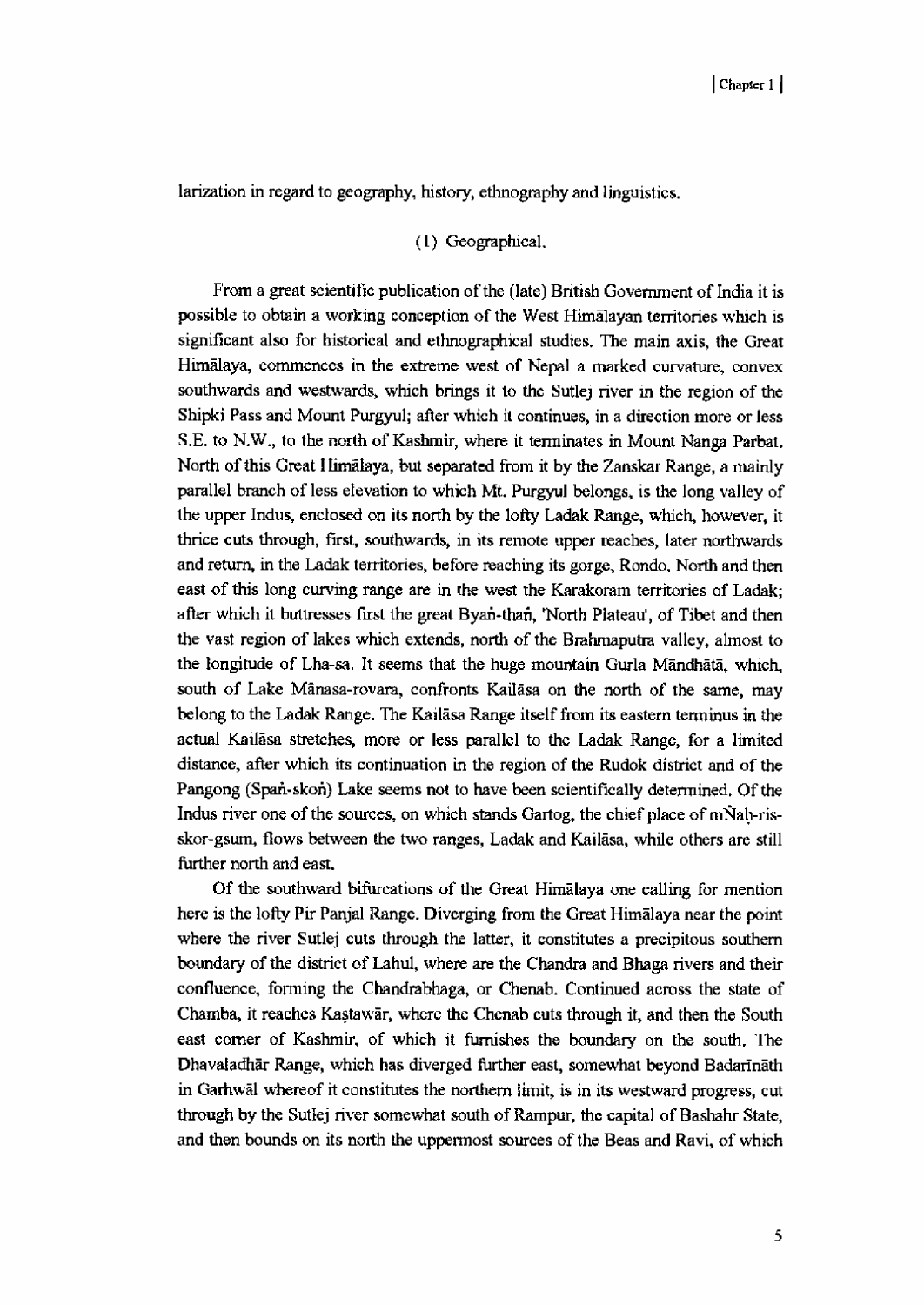larization in regard to geography, history, ethnography and linguistics.

## ( I) Geographical.

From a great scientific publication of the (late) British Government of India it is possible to obtain a working conception of the West Himalayan territories which is significant also for historical and ethnographical studies. The main axis, the Great Himalaya, commences in the extreme west of Nepal a marked curvature, convex southwards and westwards, which brings it to the Sutlej river in the region of the Shipki Pass and Mount Purgyul; after which it continues, in a direction more or less S.E. to N.W., to the north of Kashmir, where it terminates in Mount Nanga Parbat. North of this Great Himalaya, but separated from it by the Zanskar Range, a mainly parallel branch of less elevation to which Mt. Purgyul belongs, is the long valley of the upper Indus, enclosed on its north by the lofty Ladak Range, which, however, it thrice cuts through, first, southwards, in its remote upper reaches, later northwards and return, in the Ladak territories, before reaching its gorge, Rondo. North and then east of this long curving range are in the west the Karakoram territories of Ladak; after which it buttresses first the great Byars-than, 'North Plateau', of Tibet and then the vast region of lakes which extends, north of the Brahmaputra valley, almost to the longitude of Lha-sa. It seems that the huge mountain Gurla Mandhata, which, south of Lake Manasa-rovara, confronts Kailasa on the north of the same, may belong to the Ladak Range. The Kailasa Range itself from its eastern terminus in the actual Kailasa stretches, more or less parallel to the Ladak Range, for a limited distance, after which its continuation in the region of the Rudok district and of the Pangong (Span-skon) Lake seems not to have been scientifically determined. Of the Indus river one of the sources, on which stands Gartog, the chief place of mNah-risskor-gsum, flows between the two ranges, Ladak and Kailasa, while others are still further north and east.

Of the southward bifurcations of the Great Himalaya one calling for mention here is the lofty Pir Panjal Range. Diverging from the Great Himalaya near the point where the river Sutlej cuts through the latter, it constitutes a precipitous southern boundary of the district of Lahul, where are the Chandra and Bhaga rivers and their confluence, forming the Chandrabhaga, or Chenab. Continued across the state of Chamba, it reaches Kastawar, where the Chenab cuts through it, and then the South east corner of Kashmir, of which it furnishes the boundary on the south. The Dhavaladhar Range, which has diverged further east, somewhat beyond Badarinath in Garhwal whereof it constitutes the northern limit, is in its westward progress, cut through by the Sutlej river somewhat south of Rampur, the capita] of Bashahr State, and then bounds on its north the uppermost sources of the Seas and Ravi, of which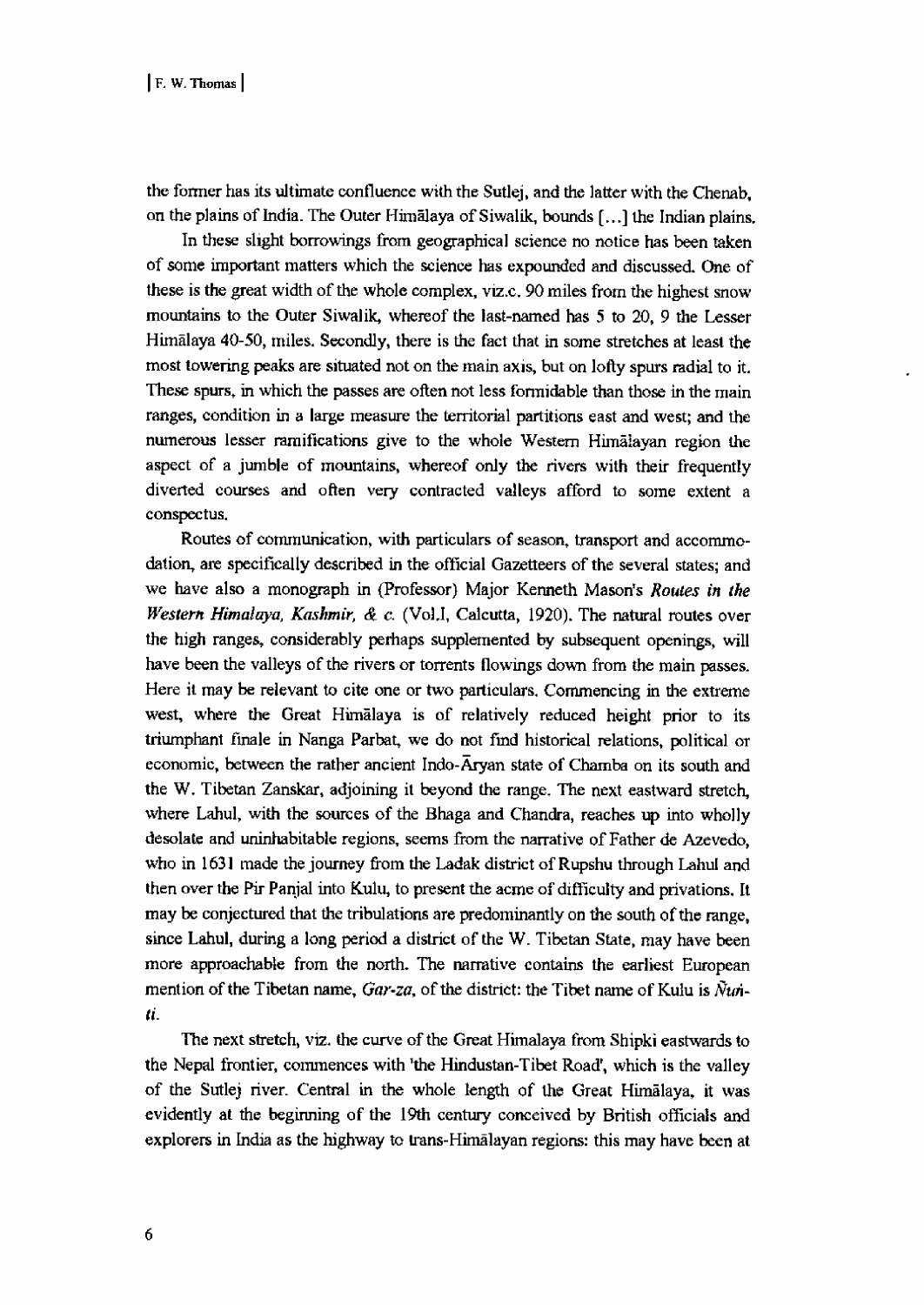the former has its ultimate confluence with the Sutlej, and the latter with the Chenab, on the plains of India. The Outer Himalaya of Siwalik, bounds [.. 1 the Indian plains.

In these slight borrowings from geographical science no notice has been taken of some important matters which the science has expounded and discussed. One of these is the great width of the whole complex, viz.c. 90 miles from the highest snow mountains to the Outer Siwalik, whereof the last-named has 5 to 20, 9 the Lesser Himalaya 40-50, miles. Secondly, there is the fact that in some stretches at least the most towering peaks are situated not on the main axis, but on lofty spurs radial to it. These spurs, in which the passes are often not less formidable than those in the main ranges, condition in a large measure the territorial partitions east and west; and the numerous lesser ramifications give to the whole Western Himalayan region the aspect of a jumble of mountains, whereof only the rivers with their frequently diverted courses and often very contracted valleys afford to some extent a conspectus.

 Routes of communication, with particulars of season, transport and accommodation, are specifically described in the official Gazetteers of the several states; and we have also a monograph in (Professor) Major Kenneth Mason's Routes in the Western Himalaya, Kashmir, & c. (Vol.I, Calcutta, 1920). The natural routes over the high ranges, considerably perhaps supplemented by subsequent openings, will have been the valleys of the rivers or torrents flowings down from the main passes. Here it may be relevant to cite one or two particulars. Commencing in the extreme west, where the Great Himalaya is of relatively reduced height prior to its triumphant finale in Nanga Parbat, we do not find historical relations, political or economic, between the rather ancient Indo-Aryan state of Chamba on its south and the W. Tibetan Zanskar, adjoining it beyond the range. The next eastward stretch, where Lahul, with the sources of the Bhaga and Chandra, reaches up into wholly desolate and uninhabitable regions, seems from the narrative of Father de Azevedo, who in 1631 made the journey from the Ladak district of Rupshu through Lahul and then over the Pir Panjal into Kulu, to present the acme of difficulty and privations. It may be conjectured that the tribulations are predominantly on the south of the range, since Lahul, during a long period a district of the W. Tibetan State, may have been more approachable from the north. The narrative contains the earliest European mention of the Tibetan name,  $Gar-za$ , of the district: the Tibet name of Kulu is  $\tilde{N}t\dot{n}$ ti.

 The next stretch, viz. the curve of the Great Himalaya from Shipki eastwards to the Nepal frontier, commences with 'the Hindustan-Tibet Road', which is the valley of the Sutlej river. Central in the whole length of the Great Himalaya, it was evidently at the beginning of the 19th century conceived by British officials and explorers in India as the highway to trans-Himalayan regions: this may have been at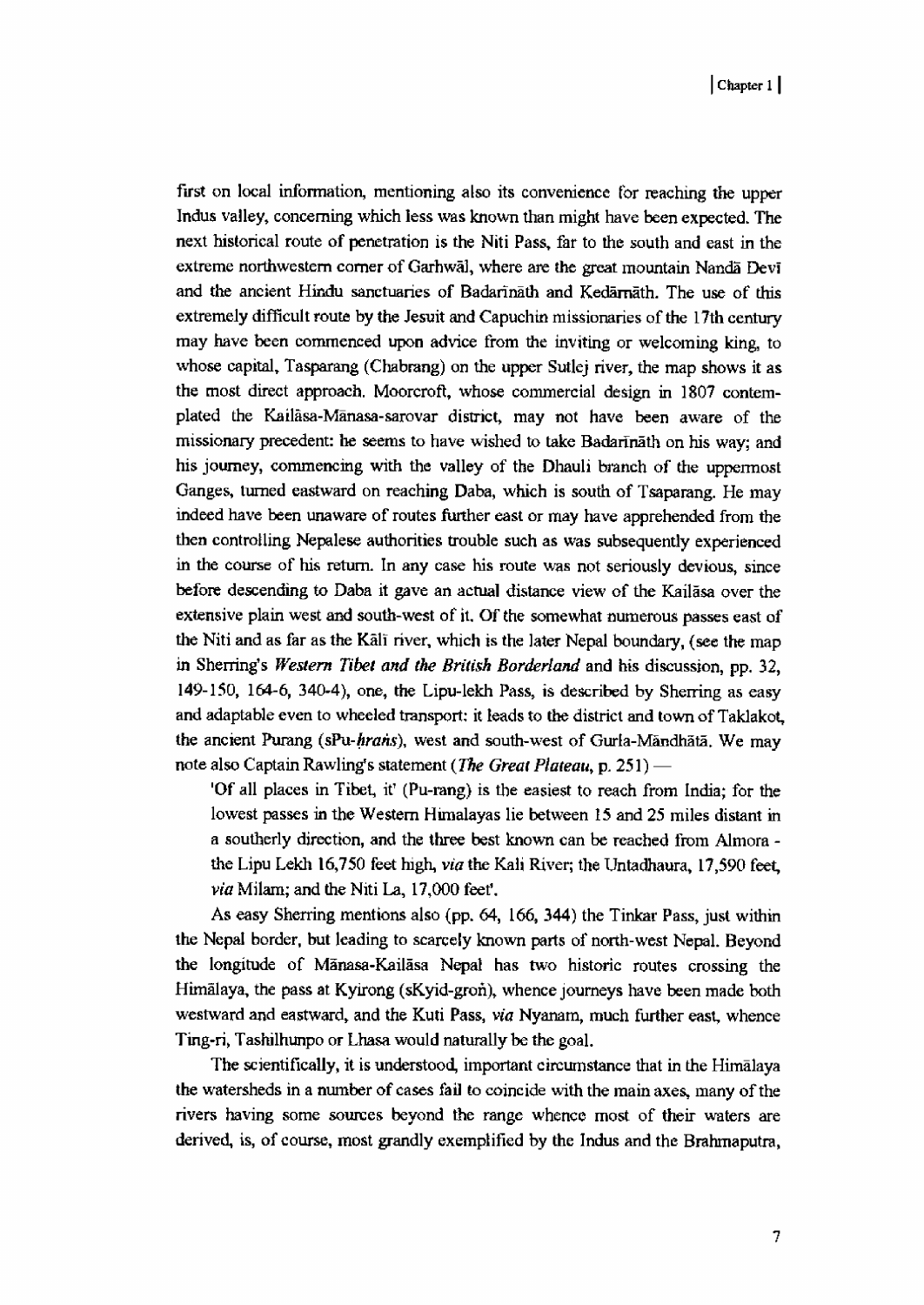first on local information, mentioning also its convenience for reaching the upper Indus valley, concerning which less was known than might have been expected. The next historical route of penetration is the Niti Pass, far to the south and east in the extreme northwestern corner of Garhwal, where are the great mountain Nandi Devi and the ancient Hindu sanctuaries of Badarinath and Kedarnath. The use of this extremely difficult route by the Jesuit and Capuchin missionaries of the 17th century may have been commenced upon advice from the inviting or welcoming king, to whose capital, Tasparang (Chabrang) on the upper Sutlej river, the map shows it as the most direct approach. Moorcrofl, whose commercial design in 1807 contemplated the Kailasa-Manasa-sarovar district, may not have been aware of the missionary precedent: he seems to have wished to take Badarinath on his way; and his journey, commencing with the valley of the Dhauli branch of the uppermost Ganges, turned eastward on reaching Daba, which is south of Tsaparang. He may indeed have been unaware of routes further east or may have apprehended from the then controlling Nepalese authorities trouble such as was subsequently experienced in the course of his return. In any case his route was not seriously devious, since before descending to Daba it gave an actual distance view of the Kailasa over the extensive plain west and south-west of it. Of the somewhat numerous passes east of the Niti and as far as the Kali river, which is the later Nepal boundary, (see the map in Sherring's Western Tibet and the British Borderland and his discussion, pp. 32, 149-150, 164-6, 340-4), one, the Lipu-lekh Pass, is described by Sherring as easy and adaptable even to wheeled transport: it leads to the district and town of Taklakot, the ancient Purang (sPu-hrans), west and south-west of Gurla-Mandhata. We may note also Captain Rawling's statement (The Great Plateau, p. 251) —

'Of all places in Tibet , it' (Pu-rang) is the easiest to reach from India; for the lowest passes in the Western Himalayas lie between 15 and 25 miles distant in a southerly direction, and the three best known can be reached from Almora the Lipu Lekh 16,750 feet high, via the Kali River; the Untadhaura, 17,590 feet, via Milani; and the Niti La, 17,000 feet'.

As easy Sherring mentions also (pp. 64, 166, 344) the Tinkar Pass, just within the Nepal border, but leading to scarcely known parts of north-west Nepal. Beyond the longitude of Manasa-Kailasa Nepal has two historic routes crossing the Himalaya, the pass at Kyirong (sKyid-gron), whence journeys have been made both westward and eastward, and the Kuti Pass, via Nyanam, much further east, whence Ting-ri, Tashilhunpo or Lhasa would naturally be the goal.

The scientifically, it is understood, important circumstance that in the Himalaya the watersheds in a number of cases fail to coincide with the main axes, many of the rivers having some sources beyond the range whence most of their waters are derived, is, of course, most grandly exemplified by the Indus and the Brahmaputra,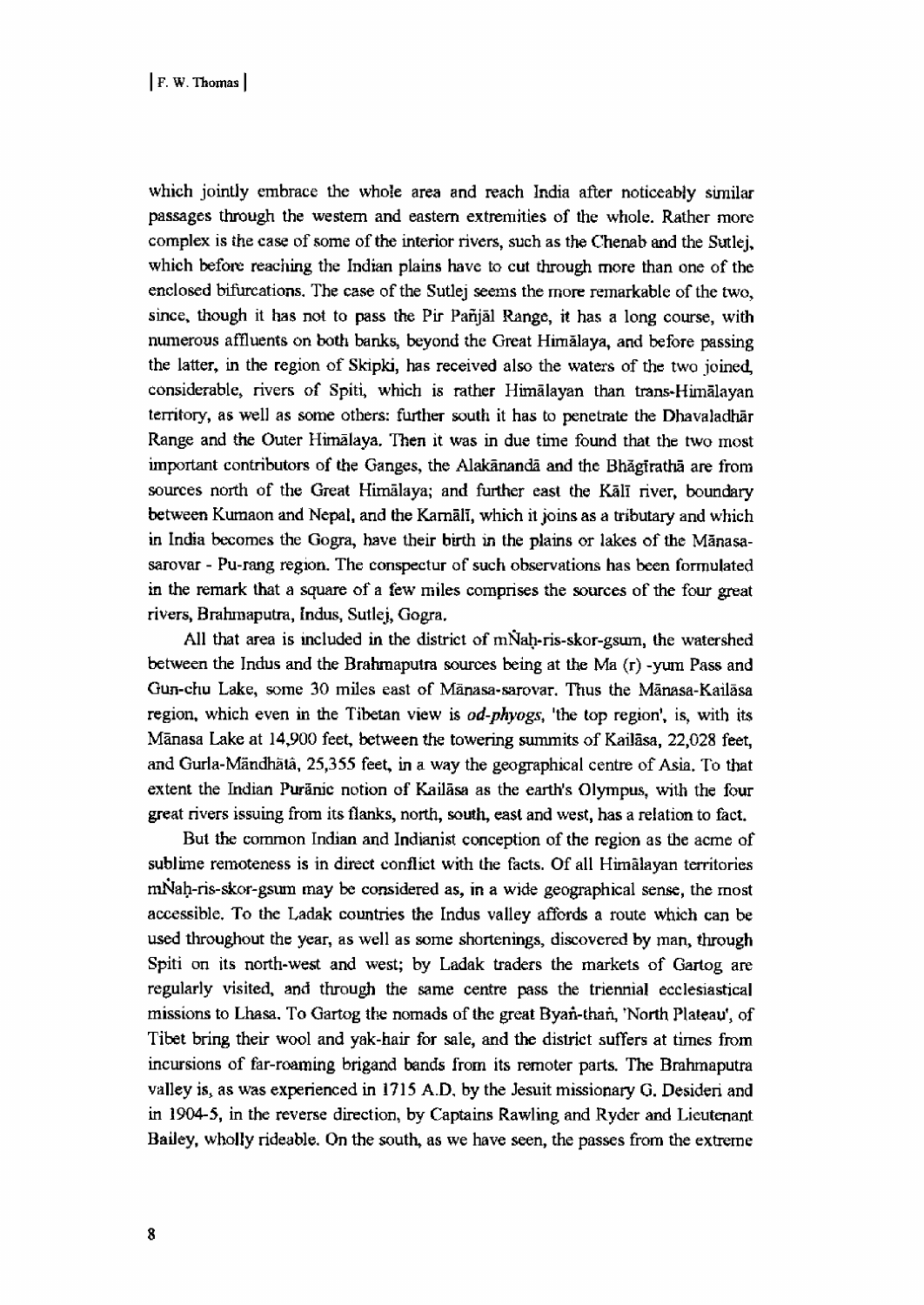which jointly embrace the whole area and reach India after noticeably similar passages through the western and eastern extremities of the whole. Rather more complex is the case of some of the interior rivers, such as the Chenab and the Sutlej, which before reaching the Indian plains have to cut through more than one of the enclosed bifurcations. The case of the Sutlej seems the more remarkable of the two, since, though it has not to pass the Pir Pañjal Range, it has a long course, with numerous affluents on both banks, beyond the Great Himalaya, and before passing the latter, in the region of Skipki, has received also the waters of the two joined considerable, rivers of Spiti, which is rather Himalayan than trans-Himalayar territory, as well as some others: further south it has to penetrate the Dhavaladhar Range and the Outer Himalaya. Then it was in due time found that the two mosi important contributors of the Ganges, the Alakananda and the Bhagiratha are from sources north of the Great Himalaya; and further east the Kali river, boundary between Kumaon and Nepal, and the Karnali, which it joins as a tributary and which in India becomes the Gogra, have their birth in the plains or lakes of the Manasasarovar - Pu-rang region. The conspectur of such observations has been formulate in the remark that a square of a few miles comprises the sources of the four great rivers, Brahmaputra, Indus, Sutlej, Gogra.

All that area is included in the district of mNah-ris-skor-gsum, the watershed between the Indus and the Brahmaputra sources being at the Ma (r) -yum Pass and Gun-chu Lake, some 30 miles east of Mänasa-sarovar. Thus the Mänasa-Kailasa region, which even in the Tibetan view is *od-phyogs*, 'the top region', is, with its Manasa Lake at 14,900 feet, between the towering summits of Kailasa, 22,028 feet, and Gurla-Mandhata, 25,355 feet, in a way the geographical centre of Asia. To that extent the Indian Puranic notion of Kailasa as the earth's Olympus, with the four great rivers issuing from its flanks, north, south, east and west, has a relation to fact.

But the common Indian and Indianist conception of the region as the acme of sublime remoteness is in direct conflict with the facts. Of all Himalayan territories tn14ah-ris-skor-gsum may be considered as, in a wide geographical sense, the mosi accessible. To the Ladak countries the Indus valley affords a route which can be used throughout the year, as well as some shortenings, discovered by man, through Spiti on its north-west and west; by Ladak traders the markets of Gartog are regularly visited, and through the same centre pass the triennial ecclesiastical missions to Lhasa. To Gartog the nomads of the great Byan-tharl, 'North Plateau', of Tibet bring their wool and yak-hair for sale, and the district suffers at times from incursions of far-roaming brigand bands from its remoter parts. The Brahmaputra valley is, as was experienced in 1715 A.D, by the Jesuit missionary G. Desideri and in 1904-5, in the reverse direction, by Captains Rawling and Ryder and Lieutenant Bailey, wholly rideable. On the south, as we have seen, the passes from the extreme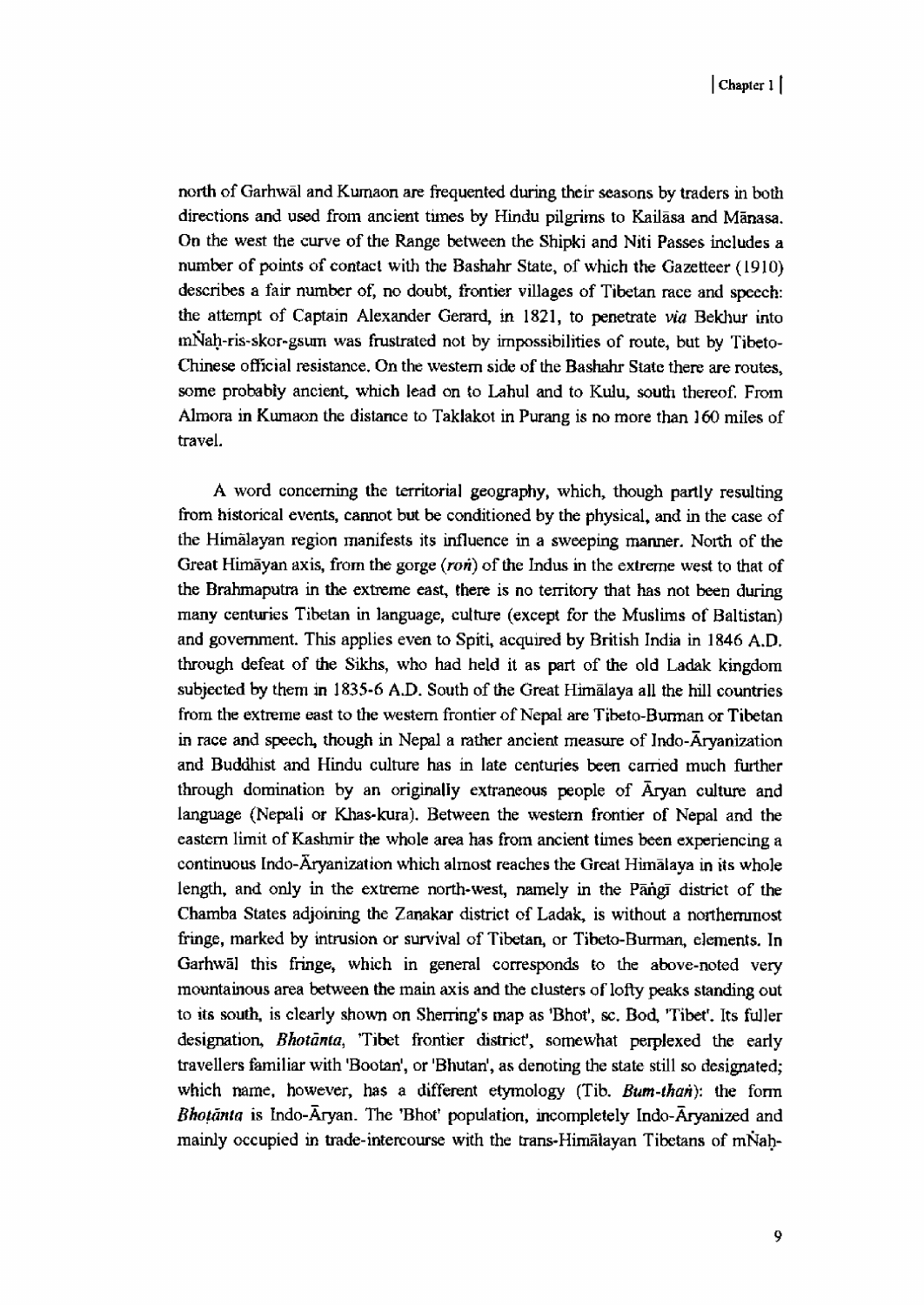north of Garhwal and Kumaon are frequented during their seasons by traders in both directions and used from ancient times by Hindu pilgrims to Kailasa and Manasa. On the west the curve of the Range between the Shipki and Niti Passes includes a number of points of contact with the Bashahr State, of which the Gazetteer (1910) describes a fair number of, no doubt, frontier villages of Tibetan race and speech: the attempt of Captain Alexander Gerard, in 1821, to penetrate via Bekhur into mNah-ris-skor-gsum was frustrated not by impossibilities of route, but by Tibeto-Chinese official resistance. On the western side of the Bashahr State there are routes, some probably ancient, which lead on to Lahul and to Kulu, south thereof. From Almora in Kumaon the distance to Taklakot in Purang is no more than 160 miles of travel.

 A word concerning the territorial geography, which, though partly resulting from historical events, cannot but be conditioned by the physical, and in the case of the Himalayan region manifests its influence in a sweeping manner. North of the Great Himayan axis, from the gorge  $(ron)$  of the Indus in the extreme west to that of the Brahmaputra in the extreme east, there is no territory that has not been during many centuries Tibetan in language, culture (except for the Muslims of Baltistan) and government. This applies even to Spiti, acquired by British India in 1846 A.D. through defeat of the Sikhs, who had held it as part of the old Ladak kingdom subjected by them in 1835-6 A.D. South of the Great Himalaya all the hill countries from the extreme east to the western frontier of Nepal are Tibeto-Burman or Tibetan in race and speech, though in Nepal a rather ancient measure of Indo-Aryanization and Buddhist and Hindu culture has in late centuries been carried much further through domination by an originally extraneous people of Aryan culture and language (Nepali or Khas-kura). Between the western frontier of Nepal and the eastern limit of Kashmir the whole area has from ancient times been experiencing a continuous Indo-Aryanization which almost reaches the Great Himalaya in its whole length, and only in the extreme north-west, namely in the Pangi district of the Chamba States adjoining the Zanakar district of Ladak, is without a northernmost fringe, marked by intrusion or survival of Tibetan., or Tibeto-Burman, elements. In Garhwal this fringe, which in general corresponds to the above-noted very mountainous area between the main axis and the clusters of lofty peaks standing out to its south, is clearly shown on Sherring's map as 'Bhot', sc. Bod, 'Tibet'. Its fuller designation, Bhotanta, 'Tibet frontier district', somewhat perplexed the early travellers familiar with 'Bootan', or 'Bhutan', as denoting the state still so designated; which name, however, has a different etymology (Tib.  $Bum-than$ ): the form Bhotanta is Indo- $\bar{A}$ ryan. The 'Bhot' population, incompletely Indo- $\bar{A}$ ryanized and mainly occupied in trade-intercourse with the trans-Himalayan Tibetans of mNah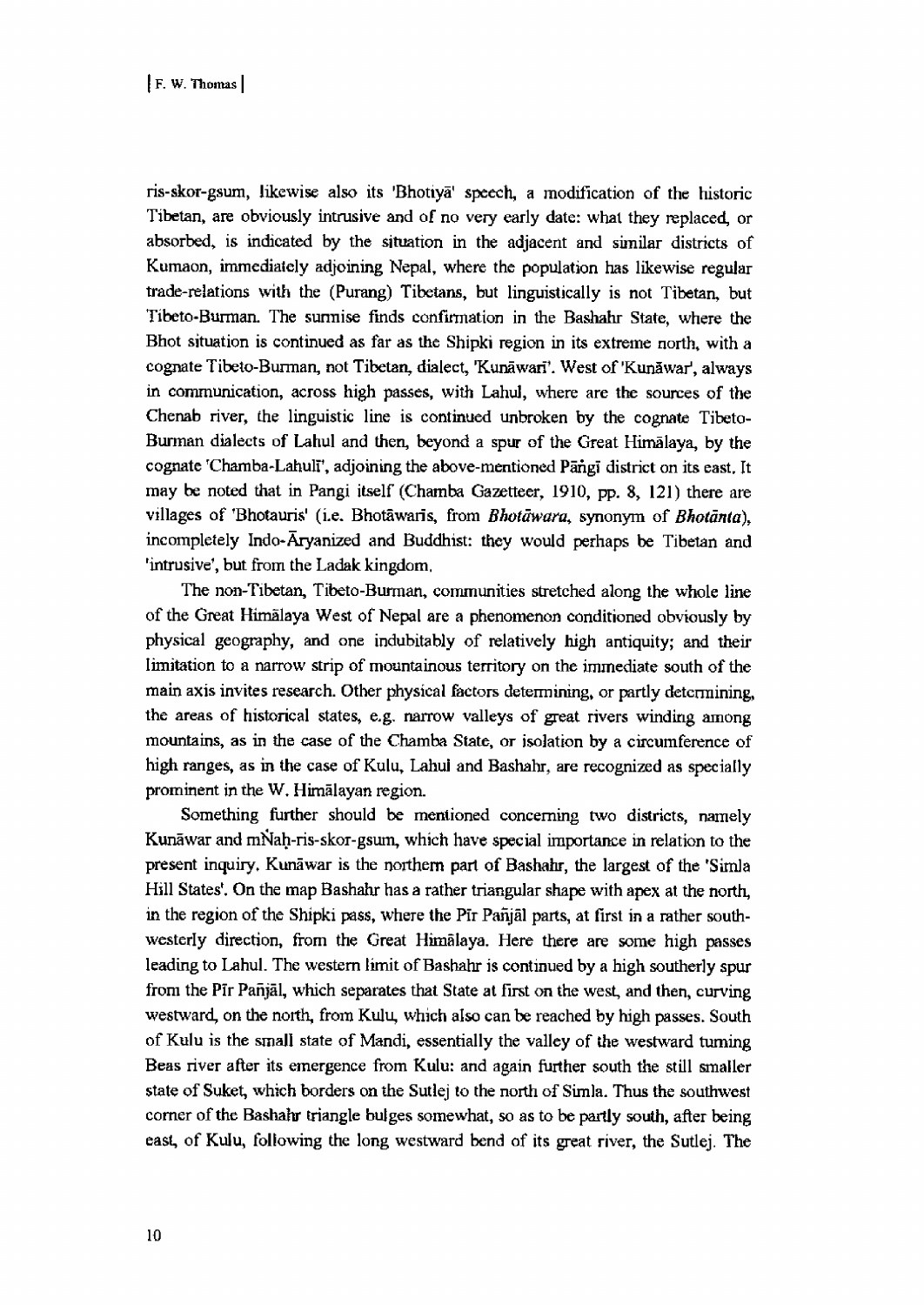ris-skor-gsurn, likewise also its 'Bhotiya" speech, a modification of the historic Tibetan, are obviously intrusive and of no very early date: what they replaced, or absorbed, is indicated by the situation in the adjacent and similar districts of Kumaon, immediately adjoining Nepal, where the population has likewise regular trade-relations with the (Purang) Tibetans, but linguistically is not Tibetan, but Tibeto-Burman. The surmise finds confirmation in the Bashahr State, where the Bhot situation is continued as far as the Shipki region in its extreme north, with a cognate Tibeto-Burman, not Tibetan, dialect, 'Kunāwarī'. West of 'Kunāwar', always in communication, across high passes, with Lahul, where are the sources of the Chenab river, the linguistic line is continued unbroken by the cognate Tibeto-Burman dialects of Lahul and then, beyond a spur of the Great Himalaya, by the cognate 'Chamba-Lahuli', adjoining the above-mentioned Pangi district on its east. It may be noted that in Pangi itself (Chamba Gazetteer, 1910, pp. 8, 121) there are villages of 'Bhotauris' (i.e. Bhotāwaris, from Bhotāwara, synonym of Bhotānta), incompletely Indo-Aryanized and Buddhist: they would perhaps be Tibetan and 'intrusive' , but from the Ladak kingdom.

The non-Tibetan, Tibeto-Burman, communities stretched along the whole line of the Great Himalaya West of Nepal are a phenomenon conditioned obviously by physical geography, and one indubitably of relatively high antiquity; and their limitation to a narrow strip of mountainous territory on the immediate south of the main axis invites research. Other physical factors determining, or partly determining, the areas of historical states, e.g. narrow valleys of great rivers winding among mountains, as in the case of the Chamba State, or isolation by a circumference of high ranges, as in the case of Kulu, Lahul and Bashahr, are recognized as specially prominent in the W. Himalayan region.

Something further should be mentioned concerning two districts, namely Kunāwar and mNah-ris-skor-gsum, which have special importance in relation to the present inquiry. Kunawar is the northern part of Bashahr, the largest of the 'Simla Hill States'. On the map Bashahr has a rather triangular shape with apex at the north, in the region of the Shipki pass, where the Pir Panjal parts, at first in a rather southwesterly direction, from the Great Himalaya. Here there are some high passes leading to Lahul. The western limit of Bashahr is continued by a high southerly spur from the Pir Pañjal, which separates that State at first on the west, and then, curving westward, on the north, from Kulu, which also can be reached by high passes. South of Kulu is the small state of Mandi, essentially the valley of the westward turning Bess river after its emergence from Kulu: and again further south the still smaller state of Suket, which borders on the Sutlej to the north of Simla. Thus the southwest corner of the Bashahr triangle bulges somewhat, so as to be partly south, after being east, of Kulu, following the long westward bend of its great river, the Sutlej. The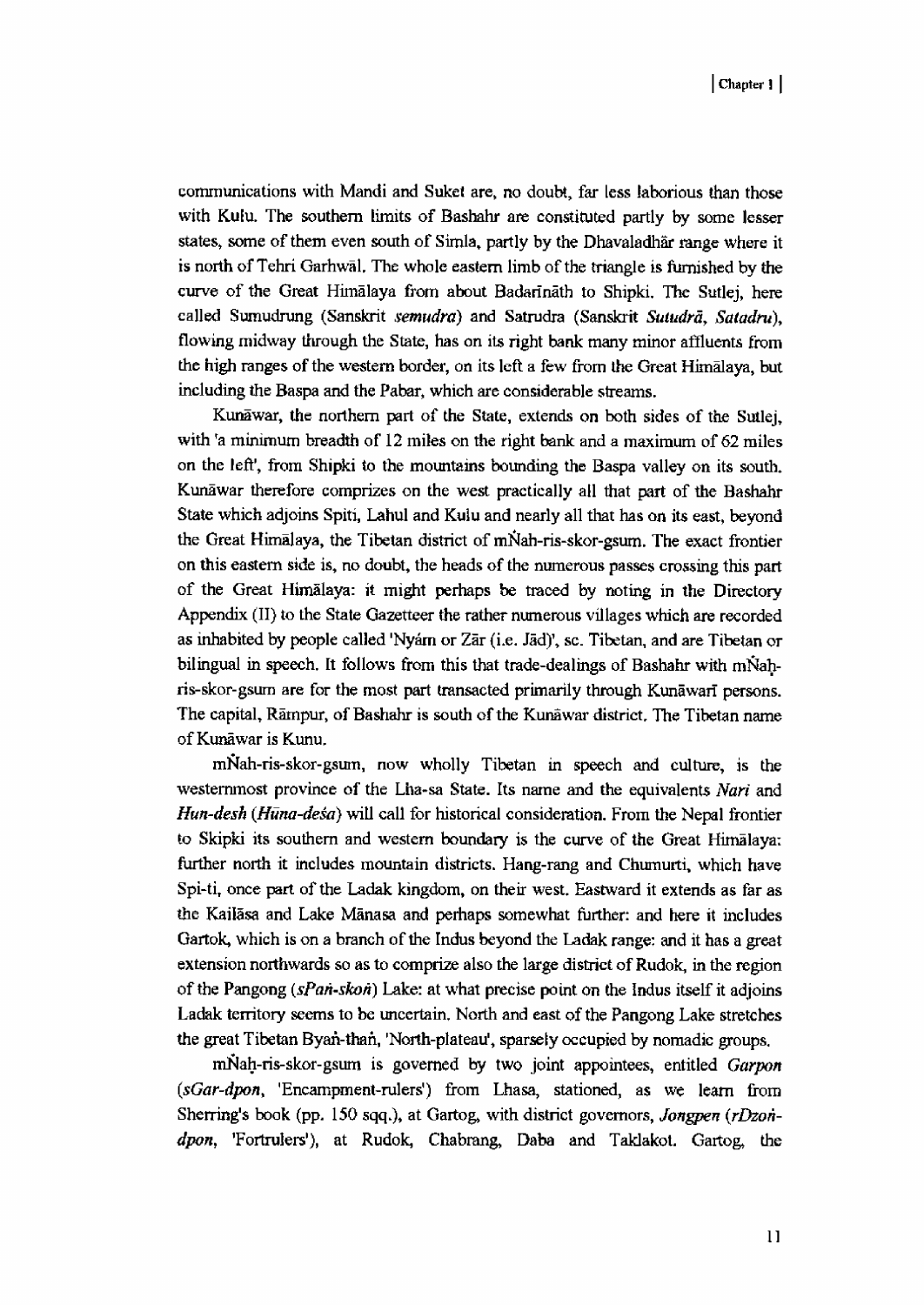communications with Mandi and Suket are, no doubt, far less laborious than those with Kulu. The southern limits of Bashahr are constituted partly by some lesser states, some of them even south of Simla, partly by the Dhavaladhar range where it is north of Tehri Garhwal. The whole eastern limb of the triangle is furnished by the curve of the Great Himalaya from about Badarinath to Shipki, The Sutlej, here called Sumudrung (Sanskrit semudra) and Satrudra (Sanskrit Sutudrā, Satadru), flowing midway through the State, has on its right bank many minor affluents from the high ranges of the western border, on its left a few from the Great Himalaya, but including the Baspa and the Pabar, which are considerable streams.

Kunawar, the northern part of the State, extends on both sides of the Sutlej, with 'a minimum breadth of 12 miles on the right bank and a maximum of 62 miles on the left', from Shipki to the mountains bounding the Baspa valley on its south. Kunawar therefore comprizes on the west practically all that part of the Bashahr State which adjoins Spiti, Lahul and Kulu and nearly all that has on its east, beyond the Great Himalaya, the Tibetan district of mNah-ris-skor-gsum. The exact frontier on this eastern side is, no doubt, the heads of the numerous passes crossing this part of the Great Himalaya: it might perhaps be traced by noting in the Directory Appendix (II) to the State Gazetteer the rather numerous villages which are recorded as inhabited by people called 'Nyám or Zār (i.e. Jād)', sc. Tibetan, and are Tibetan or bilingual in speech, It follows from this that trade-dealings of Bashahr with mNahris-skor-gsurn are for the most part transacted primarily through Kunawari persons. The capital, Rampur, of Bashahr is south of the Kunawar district. The Tibetan name of Kunawar is Kunu.

mNah-ris-skor-gsum, now wholly Tibetan in speech and culture, is the westernmost province of the Lha-sa State. Its name and the equivalents Nari and Hun-desh (Huna-desa) will call for historical consideration. From the Nepal frontier to Skipki its southern and western boundary is the curve of the Great Hinialaya: further north it includes mountain districts. Hang-rang and Chumurti, which have Spi-ti, once part of the Ladak kingdom, on their west. Eastward it extends as far as the Kailasa and Lake Manasa and perhaps somewhat further: and here it includes Gartok, which is on a branch of the Indus beyond the Ladak range: and it has a great extension northwards so as to comprize also the large district of Rudok, in the region of the Pangong  $(sPan-skon)$  Lake: at what precise point on the Indus itself it adjoins Ladak territory seems to be uncertain, North and east of the Pangong Lake stretches the great Tibetan Byan-thah, 'North-plateau', sparsely occupied by nomadic groups.

mNah-ris-skor-gsum is governed by two joint appointees, entitled Garpon (sGar-dpon, 'Encampment-rulers') from Lhasa, stationed, as we learn from Sherring's book (pp. 150 sqq.), at Gartog, with district governors, Jongpen (rDzondpon, 'Fortrulers'), at Rudok, Chabrang, Daba and Taklakot. Gartog, the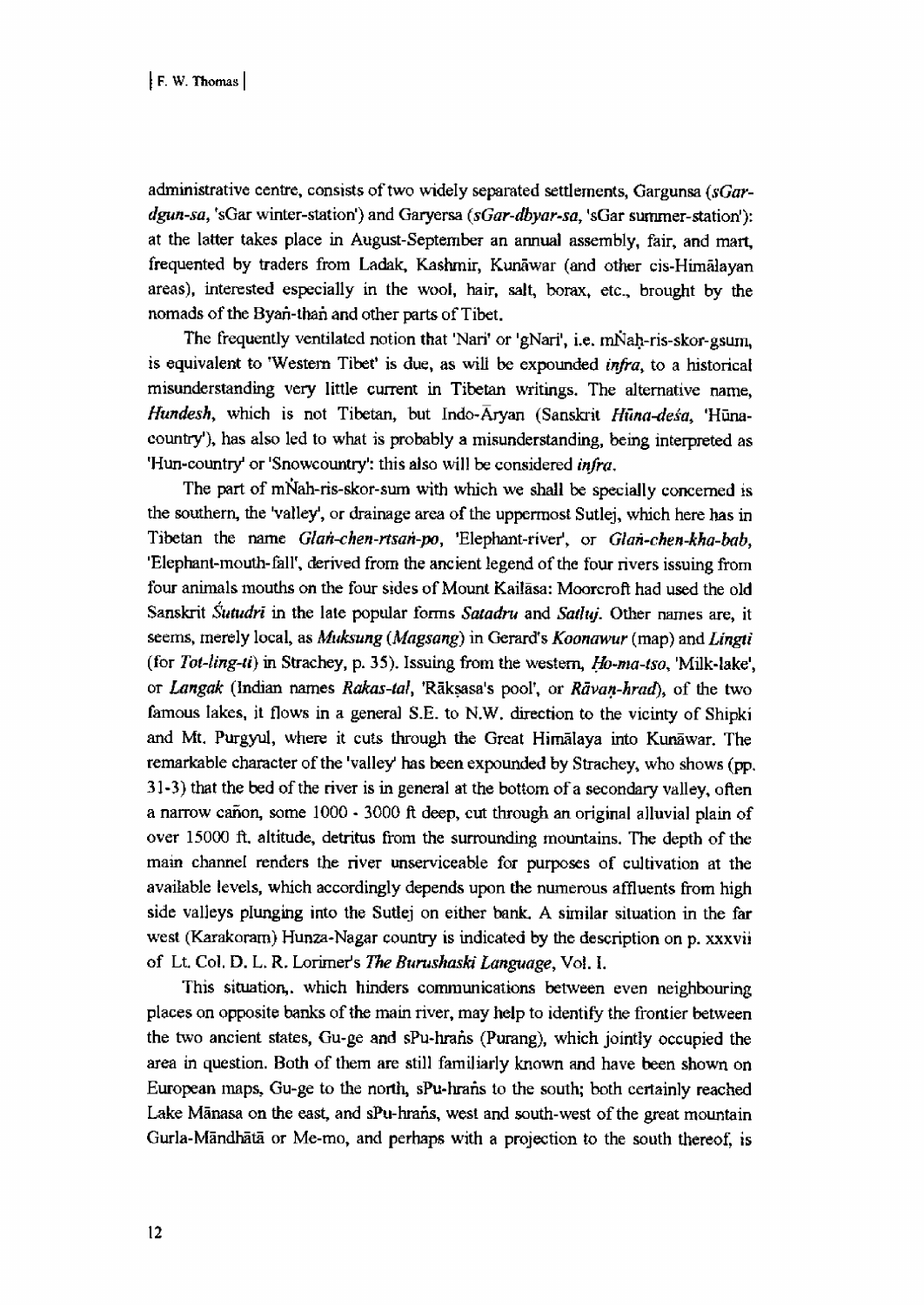administrative centre, consists of two widely separated settlements, Gargunsa (sGardgun-sa, 'sGar winter-station') and Garyersa (sGar-dbyar-sa, 'sGar summer-station'): at the latter takes place in August-September an annual assembly, fair, and mart, frequented by traders from Ladak, Kashmir, Kunawar (and other cis-Himalayan areas), interested especially in the wool, hair, salt, borax, etc., brought by the nomads of the Byan-than and other parts of Tibet.

The frequently ventilated notion that 'Nari' or 'gNari', i.e. mNah-ris-skor-gsum, is equivalent to 'Western Tibet' is due, as will be expounded infra, to a historical misunderstanding very little current in Tibetan writings. The alternative name, Hundesh, which is not Tibetan, but Indo-Aryan (Sanskrit Hūna-desa, 'Hūnacountry'), has also led to what is probably a misunderstanding, being interpreted as 'Hun-country' or 'Snowcountry': this also will be considered *infra*.

The part of mNah-ris-skor-sum with which we shall be specially concerned is the southern, the 'valley', or drainage area of the uppermost Sutlej, which here has in Tibetan the name Glan-chen-rtsan-po, 'Elephant-river', or Glan-chen-kha-bab, 'Elephant-mouth-fall' , derived from the ancient legend of the four rivers issuing from four animals mouths on the four sides of Mount Kailasa: Moorcroft had used the old Sanskrit Sutudri in the late popular forms Satadru and Satluj. Other names are, it seems, merely local, as Muksung (Magsang) in Gerard's Koonawur (map) and Lingti (for Tot-ling-ti) in Strachey, p. 35). Issuing from the western,  $H_0$ -ma-tso, 'Milk-lake', or Langak (Indian names Rakas-tal, 'Rāksasa's pool', or Rāvan-hrad), of the two famous lakes, it flows in a general S.E. to N.W. direction to the vicinty of Shipki and Mt. Purgyul, where it cuts through the Great Himalaya into Kunawar. The remarkable character of the 'valley' has been expounded by Strachey, who shows (pp, 31-3) that the bed of the river is in general at the bottom of a secondary valley, often a narrow cañon, some  $1000 - 3000$  ft deep, cut through an original alluvial plain of over 15000 ft. altitude, detritus from the surrounding mountains. The depth of the main channel renders the river unserviceable for purposes of cultivation at the available levels, which accordingly depends upon the numerous affluents from high side valleys plunging into the Sutlej on either bank. A similar situation in the far west (Karakoram) Hunza-Nagar country is indicated by the description on p. xxxvii of Lt. Col. D. L. R. Lorimer's The Burushaski Language, Vol. I.

This situation,. which hinders communications between even neighbouring places on opposite banks of the main river, may help to identify the frontier between the two ancient states, Gu-ge and sPu-hratis (Purang), which jointly occupied the area in question. Both of them are still familiarly known and have been shown on European maps, Gu-ge to the north, sPu-hrafis to the south; both certainly reached Lake Mānasa on the east, and sPu-hrans, west and south-west of the great mountain Gurla-Mandhata or Me-mo, and perhaps with a projection to the south thereof, is